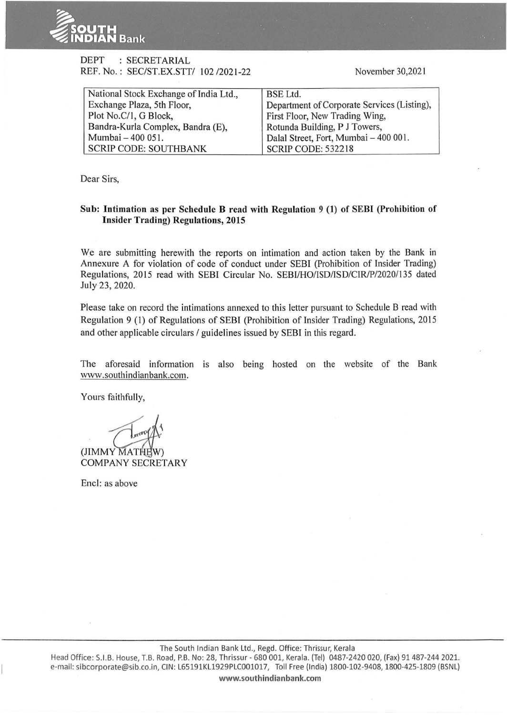

## DEPT : SECRETARIAL REF. No.: SEC/ST.EX.STT/ 102 /2021-22

November 30,2021

| National Stock Exchange of India Ltd., | <b>BSE</b> Ltd.                             |
|----------------------------------------|---------------------------------------------|
| Exchange Plaza, 5th Floor,             | Department of Corporate Services (Listing), |
| Plot No.C/1, G Block,                  | First Floor, New Trading Wing,              |
| Bandra-Kurla Complex, Bandra (E),      | Rotunda Building, P J Towers,               |
| Mumbai - 400 051.                      | Dalal Street, Fort, Mumbai - 400 001.       |
| <b>SCRIP CODE: SOUTHBANK</b>           | <b>SCRIP CODE: 532218</b>                   |

Dear Sirs,

## Sub: Intimation as per Schedule B read with Regulation 9 (1) of SEBI (Prohibition of Insider Trading) Regulations, 2015

We are submitting herewith the reports on intimation and action taken by the Bank in Annexure A for violation of code of conduct under SEBI (Prohibition of Insider Trading) Regulations, 2015 read with SEBI Circular No. SEBI/HO/ISD/ISD/CIRIP/2020/135 dated July 23, 2020.

Please take on record the intimations annexed to this letter pursuant to Schedule B read with Regulation 9 (I) of Regulations of SEBI (Prohibition of Insider Trading) Regulations, 20 15 and other applicable circulars / guidelines issued by SEBI in this regard.

The aforesaid information is also being hosted on the website of the Bank www.southindianbank.com.

Yours faithfully,

 $\langle \mathcal{L} \rangle$ 

(JIMMY MATHEW) COMPANY SECRETARY

Encl: as above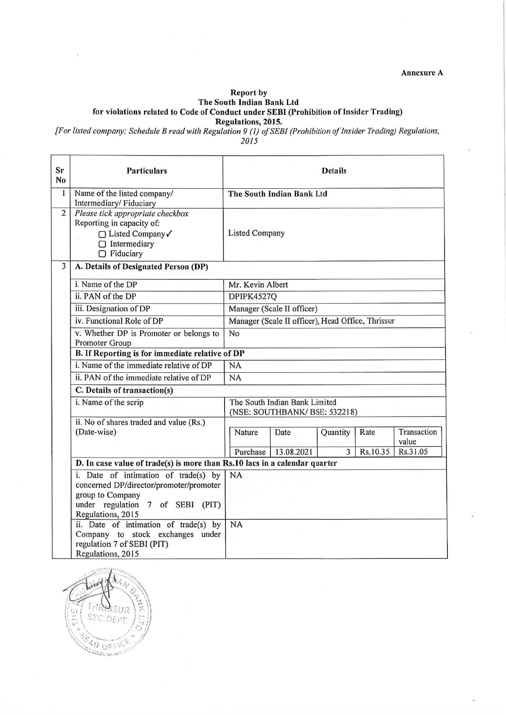Annexure A

## Report by The South Indian Bank Ltd

for violations related to Code of Conduct under SEBI (Prohibition of Insider Trading)

Regulations, 2015.

*[For listed company: Schedule Bread with Regulation 9 (1) of SEBI (Prohibition of Insider Trading) Regulations,* 

2015

| Sr<br>N <sub>0</sub> | <b>Particulars</b>                                                                                                                                              | <b>Details</b>                                                 |            |          |          |                      |
|----------------------|-----------------------------------------------------------------------------------------------------------------------------------------------------------------|----------------------------------------------------------------|------------|----------|----------|----------------------|
| $\mathbf{1}$         | Name of the listed company/<br>Intermediary/Fiduciary                                                                                                           | The South Indian Bank Ltd                                      |            |          |          |                      |
| $\overline{2}$       | Please tick appropriate checkbox<br>Reporting in capacity of:<br>□ Listed Company√<br>$\Box$ Intermediary<br>$\Box$ Fiduciary                                   | <b>Listed Company</b>                                          |            |          |          |                      |
| $\overline{3}$       | A. Details of Designated Person (DP)                                                                                                                            |                                                                |            |          |          |                      |
|                      | i. Name of the DP                                                                                                                                               | Mr. Kevin Albert                                               |            |          |          |                      |
|                      | ii. PAN of the DP                                                                                                                                               | DPIPK4527Q                                                     |            |          |          |                      |
|                      | iii. Designation of DP                                                                                                                                          | Manager (Scale II officer)                                     |            |          |          |                      |
|                      | iv. Functional Role of DP                                                                                                                                       | Manager (Scale II officer), Head Office, Thrissur              |            |          |          |                      |
|                      | v. Whether DP is Promoter or belongs to<br>Promoter Group                                                                                                       | No                                                             |            |          |          |                      |
|                      | B. If Reporting is for immediate relative of DP                                                                                                                 |                                                                |            |          |          |                      |
|                      | i. Name of the immediate relative of DP                                                                                                                         | <b>NA</b>                                                      |            |          |          |                      |
|                      | ii. PAN of the immediate relative of DP                                                                                                                         | NA                                                             |            |          |          |                      |
|                      | C. Details of transaction(s)                                                                                                                                    |                                                                |            |          |          |                      |
|                      | i. Name of the scrip                                                                                                                                            | The South Indian Bank Limited<br>(NSE: SOUTHBANK/ BSE: 532218) |            |          |          |                      |
|                      | ii. No of shares traded and value (Rs.)                                                                                                                         |                                                                |            |          |          |                      |
|                      | (Date-wise)                                                                                                                                                     | Nature                                                         | Date       | Quantity | Rate     | Transaction<br>value |
|                      |                                                                                                                                                                 | Purchase                                                       | 13.08.2021 | 3        | Rs.10.35 | Rs.31.05             |
|                      | D. In case value of trade(s) is more than Rs.10 lacs in a calendar quarter                                                                                      |                                                                |            |          |          |                      |
|                      | i. Date of intimation of trade(s) by<br>concerned DP/director/promoter/promoter<br>group to Company<br>under regulation<br>7 of SEBI (PIT)<br>Regulations, 2015 | <b>NA</b>                                                      |            |          |          |                      |
|                      | ii. Date of intimation of trade(s) by<br>Company to stock exchanges under<br>regulation 7 of SEBI (PIT)<br>Regulations, 2015                                    | <b>NA</b>                                                      |            |          |          |                      |